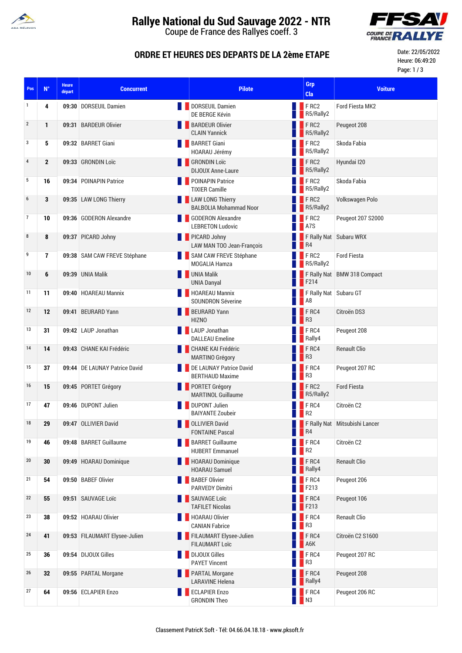

## **Rallye National du Sud Sauvage 2022 - NTR**

Coupe de France des Rallyes coeff. 3



### **ORDRE ET HEURES DES DEPARTS DE LA 2ème ETAPE**

Date: 22/05/2022 Heure: 06:49:20 Page: 1 / 3

| Pos              | $\mathsf{N}^\circ$ | <b>Heure</b><br>départ | <b>Concurrent</b>             | <b>Pilote</b>                                               |                   | Grp<br>Cla                                  | <b>Voiture</b>                  |
|------------------|--------------------|------------------------|-------------------------------|-------------------------------------------------------------|-------------------|---------------------------------------------|---------------------------------|
| 1                | 4                  |                        | 09:30 DORSEUIL Damien         | <b>DORSEUIL Damien</b><br>DE BERGE Kévin                    |                   | <b>FRC2</b><br>R5/Rally2                    | Ford Fiesta MK2                 |
| $\overline{2}$   | 1                  |                        | 09:31 BARDEUR Olivier         | <b>BARDEUR Olivier</b><br><b>CLAIN Yannick</b>              |                   | <b>FRC2</b><br>R5/Rally2                    | Peugeot 208                     |
| 3                | 5                  |                        | 09:32 BARRET Giani            | <b>BARRET Giani</b><br>HOARAU Jérémy                        |                   | <b>FRC2</b><br>R5/Rally2                    | Skoda Fabia                     |
| $\overline{4}$   | $\mathbf{2}$       |                        | 09:33 GRONDIN Loïc            | <b>SHONDIN LOTE</b><br><b>DIJOUX Anne-Laure</b>             |                   | <b>FRC2</b><br>R5/Rally2                    | Hyundai I20                     |
| 5                | 16                 |                        | 09:34 POINAPIN Patrice        | <b>DEPOINAPIN Patrice</b><br><b>TIXIER Camille</b>          |                   | <b>FRC2</b><br>R5/Rally2                    | Skoda Fabia                     |
| $\boldsymbol{6}$ | 3                  |                        | 09:35 LAW LONG Thierry        | <b>LAW LONG Thierry</b><br><b>BALBOLIA Mohammad Noor</b>    |                   | FRC2<br>R5/Rally2                           | Volkswagen Polo                 |
| $\overline{7}$   | 10                 |                        | 09:36 GODERON Alexandre       | <b>GODERON Alexandre</b><br><b>LEBRETON Ludovic</b>         |                   | $\blacksquare$ F RC2<br><b>A</b> 7S         | Peugeot 207 S2000               |
| 8                | 8                  |                        | 09:37 PICARD Johny            | PICARD Johny<br>LAW MAN TOO Jean-François                   | $\blacksquare$ R4 |                                             | F Rally Nat Subaru WRX          |
| 9                | 7                  |                        | 09:38 SAM CAW FREVE Stéphane  | SAM CAW FREVE Stéphane<br>MOGALIA Hamza                     |                   | $\blacksquare$ F RC2<br><b>B</b> R5/Rally2  | <b>Ford Fiesta</b>              |
| 10               | 6                  |                        | 09:39 UNIA Malik              | <b>UNIA Malik</b><br><b>UNIA Danyal</b>                     |                   | $\blacksquare$ F214                         | F Rally Nat BMW 318 Compact     |
| 11               | 11                 |                        | 09:40 HOAREAU Mannix          | <b>HOAREAU Mannix</b><br><b>SOUNDRON Séverine</b>           |                   | F Rally Nat Subaru GT<br>$\blacksquare$ A8  |                                 |
| 12               | 12                 |                        | 09:41 BEURARD Yann            | BEURARD Yann<br><b>HIZNO</b>                                | $\blacksquare$ R3 | $F$ RC4                                     | Citroën DS3                     |
| 13               | 31                 |                        | 09:42 LAUP Jonathan           | LAUP Jonathan<br><b>DALLEAU Emeline</b>                     |                   | FRC4<br>Rally4                              | Peugeot 208                     |
| 14               | 14                 |                        | 09:43 CHANE KAI Frédéric      | <b>CHANE KAI Frédéric</b><br><b>MARTINO Grégory</b>         |                   | F <sub>RC4</sub><br><b>B</b> R3             | <b>Renault Clio</b>             |
| 15               | 37                 |                        | 09:44 DE LAUNAY Patrice David | DE LAUNAY Patrice David<br><b>BERTHAUD Maxime</b>           |                   | FRC4<br>R <sub>3</sub>                      | Peugeot 207 RC                  |
| 16               | 15                 |                        | 09:45 PORTET Grégory          | <b>DESPIRED PORTET Grégory</b><br><b>MARTINOL Guillaume</b> |                   | FRC2<br>R5/Rally2                           | <b>Ford Fiesta</b>              |
| 17               | 47                 |                        | 09:46 DUPONT Julien           | <b>DUPONT Julien</b><br><b>BAIYANTE Zoubeir</b>             |                   | F RC4<br>R <sub>2</sub>                     | Citroën C <sub>2</sub>          |
| 18               | 29                 |                        | 09:47 OLLIVIER David          | <b>DELIVIER David</b><br><b>FONTAINE Pascal</b>             | <b>NO</b> R4      |                                             | F Rally Nat   Mitsubishi Lancer |
| 19               | 46                 |                        | 09:48 BARRET Guillaume        | <b>BARRET Guillaume</b><br><b>HUBERT Emmanuel</b>           |                   | FRC4<br>R <sub>2</sub>                      | Citroën C2                      |
| 20               | 30                 |                        | 09:49 HOARAU Dominique        | HOARAU Dominique<br><b>HOARAU Samuel</b>                    |                   | FRC4<br>Rally4                              | <b>Renault Clio</b>             |
| 21               | 54                 |                        | 09:50 BABEF Olivier           | <b>BABEF Olivier</b><br><b>PARVEDY Dimitri</b>              |                   | $F$ RC4<br>$\overline{\phantom{1}}$ F213    | Peugeot 206                     |
| 22               | 55                 |                        | 09:51 SAUVAGE Loïc            | SAUVAGE Loïc<br><b>TAFILET Nicolas</b>                      |                   | $\blacksquare$ F RC4<br>$\blacksquare$ F213 | Peugeot 106                     |
| 23               | 38                 |                        | 09:52 HOARAU Olivier          | <b>HOARAU Olivier</b><br><b>CANIAN Fabrice</b>              |                   | $\blacksquare$ F RC4<br>R <sub>3</sub>      | <b>Renault Clio</b>             |
| 24               | 41                 |                        | 09:53 FILAUMART Elysee-Julien | FILAUMART Elysee-Julien<br><b>FILAUMART Loïc</b>            |                   | FRC4<br>A6K                                 | Citroën C2 S1600                |
| 25               | 36                 |                        | 09:54 DIJOUX Gilles           | DIJOUX Gilles<br><b>PAYET Vincent</b>                       |                   | $\blacksquare$ F RC4<br>$\blacksquare$ R3   | Peugeot 207 RC                  |
| 26               | 32                 |                        | 09:55 PARTAL Morgane          | <b>PARTAL Morgane</b><br><b>LARAVINE Helena</b>             |                   | $\blacksquare$ F RC4<br><b>Rally4</b>       | Peugeot 208                     |
| 27               | 64                 |                        | 09:56 ECLAPIER Enzo           | <b>ECLAPIER Enzo</b><br><b>GRONDIN Theo</b>                 |                   | <b>FRC4</b><br><b>N3</b>                    | Peugeot 206 RC                  |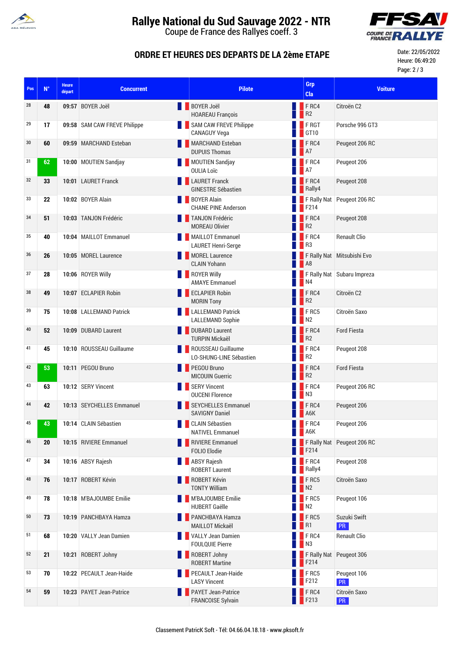

# **Rallye National du Sud Sauvage 2022 - NTR**

Coupe de France des Rallyes coeff. 3



### **ORDRE ET HEURES DES DEPARTS DE LA 2ème ETAPE**

Date: 22/05/2022 Heure: 06:49:20 Page: 2 / 3

| Pos | $\mathsf{N}^\circ$ | <b>Heure</b><br>départ | <b>Concurrent</b>            | <b>Pilote</b>                                            | Grp<br>Cla                         | <b>Voiture</b>             |
|-----|--------------------|------------------------|------------------------------|----------------------------------------------------------|------------------------------------|----------------------------|
| 28  | 48                 |                        | 09:57 BOYER Joël             | <b>BOYER Joël</b><br><b>HOAREAU François</b>             | F <sub>RC4</sub><br>R <sub>2</sub> | Citroën <sub>C2</sub>      |
| 29  | 17                 |                        | 09:58 SAM CAW FREVE Philippe | SAM CAW FREVE Philippe<br><b>CANAGUY Vega</b>            | FRGT<br>GT10                       | Porsche 996 GT3            |
| 30  | 60                 |                        | 09:59 MARCHAND Esteban       | MARCHAND Esteban<br><b>DUPUIS Thomas</b>                 | $F$ <sub>RC4</sub><br>A7           | Peugeot 206 RC             |
| 31  | 62                 |                        | 10:00 MOUTIEN Sandjay        | MOUTIEN Sandjay<br><b>OULIA Loïc</b>                     | F <sub>RC4</sub><br>A7             | Peugeot 206                |
| 32  | 33                 |                        | 10:01 LAURET Franck          | <b>LAURET Franck</b><br><b>GINESTRE Sébastien</b>        | $\blacksquare$ F RC4<br>Rally4     | Peugeot 208                |
| 33  | 22                 |                        | 10:02 BOYER Alain            | <b>BOYER Alain</b><br><b>CHANE PINE Anderson</b>         | F214                               | F Rally Nat Peugeot 206 RC |
| 34  | 51                 |                        | 10:03 TANJON Frédéric        | <b>TANJON Frédéric</b><br><b>MOREAU Olivier</b>          | FRC4<br>R <sub>2</sub>             | Peugeot 208                |
| 35  | 40                 |                        | 10:04 MAILLOT Emmanuel       | MAILLOT Emmanuel<br><b>LAURET Henri-Serge</b>            | F <sub>RC4</sub><br>R <sub>3</sub> | <b>Renault Clio</b>        |
| 36  | 26                 |                        | 10:05 MOREL Laurence         | MOREL Laurence<br><b>CLAIN Yohann</b>                    | A8                                 | F Rally Nat Mitsubishi Evo |
| 37  | 28                 |                        | 10:06 ROYER Willy            | ROYER Willy<br><b>AMAYE Emmanuel</b>                     | N <sub>4</sub>                     | F Rally Nat Subaru Impreza |
| 38  | 49                 |                        | 10:07 ECLAPIER Robin         | <b>ECLAPIER Robin</b><br><b>MORIN Tony</b>               | F RC4<br>R <sub>2</sub>            | Citroën C2                 |
| 39  | 75                 |                        | 10:08 LALLEMAND Patrick      | <b>ALLEMAND Patrick</b><br><b>LALLEMAND Sophie</b>       | FRG5<br>N <sub>2</sub>             | Citroën Saxo               |
| 40  | 52                 |                        | 10:09 DUBARD Laurent         | DUBARD Laurent<br><b>TURPIN Mickaël</b>                  | F RC4<br>R <sub>2</sub>            | <b>Ford Fiesta</b>         |
| 41  | 45                 |                        | 10:10 ROUSSEAU Guillaume     | ROUSSEAU Guillaume<br>LO-SHUNG-LINE Sébastien            | FRC4<br>R <sub>2</sub>             | Peugeot 208                |
| 42  | 53                 |                        | 10:11 PEGOU Bruno            | <b>PEGOU Bruno</b><br><b>MICOUIN Guerric</b>             | FRC4<br>R <sup>2</sup>             | <b>Ford Fiesta</b>         |
| 43  | 63                 |                        | 10:12 SERY Vincent           | SERY Vincent<br><b>OUCENI Florence</b>                   | $F$ RC4<br>N <sub>3</sub>          | Peugeot 206 RC             |
| 44  | 42                 |                        | 10:13 SEYCHELLES Emmanuel    | SEYCHELLES Emmanuel<br><b>SAVIGNY Daniel</b>             | F <sub>RC4</sub><br>A6K            | Peugeot 206                |
| 45  | 43                 |                        | 10:14 CLAIN Sébastien        | <b>CLAIN Sébastien</b><br><b>NATIVEL Emmanuel</b>        | $\blacksquare$ F RC4<br>A6K        | Peugeot 206                |
| 46  | 20                 |                        | 10:15 RIVIERE Emmanuel       | RIVIERE Emmanuel<br><b>FOLIO Elodie</b>                  | F214                               | F Rally Nat Peugeot 206 RC |
| 47  | 34                 |                        | 10:16 ABSY Rajesh            | <b>ABSY Rajesh</b><br><b>ROBERT Laurent</b>              | F RC4<br>Rally4                    | Peugeot 208                |
| 48  | 76                 |                        | 10:17 ROBERT Kévin           | ROBERT Kévin<br><b>TONTY William</b>                     | FRC5<br>N <sub>2</sub>             | Citroën Saxo               |
| 49  | 78                 |                        | 10:18 M'BAJOUMBE Emilie      | M'BAJOUMBE Emilie<br><b>HUBERT Gaëlle</b>                | FRC5<br>N2                         | Peugeot 106                |
| 50  | 73                 |                        | 10:19 PANCHBAYA Hamza        | <b>EXECUTE PANCHBAYA Hamza</b><br><b>MAILLOT Mickaël</b> | FRC5<br>R1                         | Suzuki Swift<br>PR         |
| 51  | 68                 |                        | 10:20 VALLY Jean Damien      | <b>VALLY Jean Damien</b><br><b>FOULQUIE Pierre</b>       | FRC4<br>N3                         | <b>Renault Clio</b>        |
| 52  | 21                 |                        | 10:21 ROBERT Johny           | ROBERT Johny<br><b>ROBERT Martine</b>                    | F214                               | F Rally Nat Peugeot 306    |
| 53  | 70                 |                        | 10:22 PECAULT Jean-Haide     | <b>PECAULT Jean-Haide</b><br><b>LASY Vincent</b>         | FRC5<br>F212                       | Peugeot 106<br>PR          |
| 54  | 59                 |                        | 10:23 PAYET Jean-Patrice     | <b>PAYET Jean-Patrice</b><br><b>FRANCOISE Sylvain</b>    | F <sub>RC4</sub><br>F213           | Citroën Saxo<br>PR         |